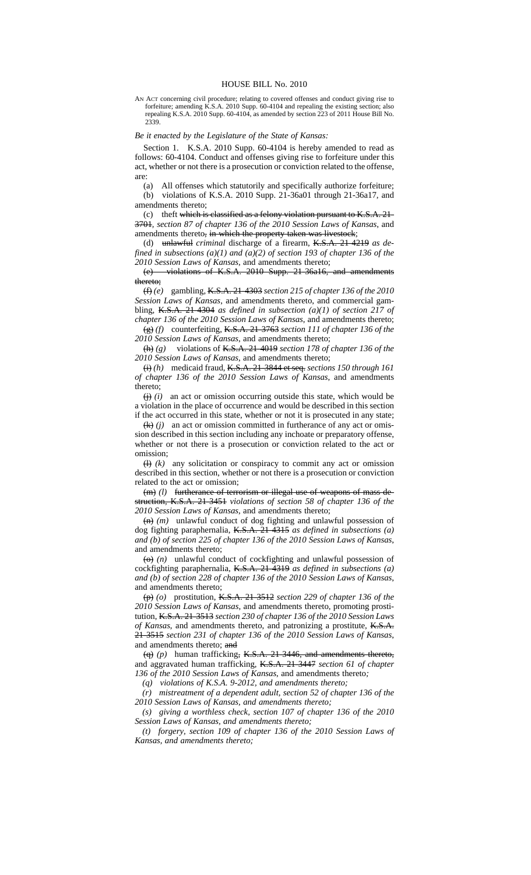## HOUSE BILL No. 2010

AN ACT concerning civil procedure; relating to covered offenses and conduct giving rise to forfeiture; amending K.S.A. 2010 Supp. 60-4104 and repealing the existing section; also repealing K.S.A. 2010 Supp. 60-4104, as amended by section 223 of 2011 House Bill No. 2339.

## *Be it enacted by the Legislature of the State of Kansas:*

Section 1. K.S.A. 2010 Supp. 60-4104 is hereby amended to read as follows: 60-4104. Conduct and offenses giving rise to forfeiture under this act, whether or not there is a prosecution or conviction related to the offense, are:

(a) All offenses which statutorily and specifically authorize forfeiture; (b) violations of K.S.A. 2010 Supp. 21-36a01 through 21-36a17, and amendments thereto;

(c) theft which is classified as a felony violation pursuant to K.S.A. 21- 3701*, section 87 of chapter 136 of the 2010 Session Laws of Kansas*, and amendments thereto<del>, in which the property taken was livestock</del>;

(d) unlawful *criminal* discharge of a firearm, K.S.A. 21-4219 *as defined in subsections (a)(1) and (a)(2) of section 193 of chapter 136 of the 2010 Session Laws of Kansas*, and amendments thereto;

(e) violations of K.S.A. 2010 Supp. 21-36a16, and amendments thereto;

(f) *(e)* gambling, K.S.A. 21-4303 *section 215 of chapter 136 of the 2010 Session Laws of Kansas*, and amendments thereto, and commercial gambling, K.S.A. 21-4304 *as defined in subsection (a)(1) of section 217 of chapter 136 of the 2010 Session Laws of Kansas*, and amendments thereto;

(g) *(f)* counterfeiting, K.S.A. 21-3763 *section 111 of chapter 136 of the 2010 Session Laws of Kansas*, and amendments thereto;

(h) *(g)* violations of K.S.A. 21-4019 *section 178 of chapter 136 of the 2010 Session Laws of Kansas*, and amendments thereto;

(i) *(h)* medicaid fraud, K.S.A. 21-3844 et seq. *sections 150 through 161 of chapter 136 of the 2010 Session Laws of Kansas*, and amendments thereto;<br> $\overleftrightarrow{\theta}$  (*i*)

an act or omission occurring outside this state, which would be a violation in the place of occurrence and would be described in this section if the act occurred in this state, whether or not it is prosecuted in any state;

 $\left(\frac{k}{k}\right)$  *(j)* an act or omission committed in furtherance of any act or omission described in this section including any inchoate or preparatory offense, whether or not there is a prosecution or conviction related to the act or omission;

 $(h)$  *(k)* any solicitation or conspiracy to commit any act or omission described in this section, whether or not there is a prosecution or conviction related to the act or omission;

(m) *(l)* furtherance of terrorism or illegal use of weapons of mass destruction, K.S.A. 21-3451 *violations of section 58 of chapter 136 of the 2010 Session Laws of Kansas*, and amendments thereto;

(n) *(m)* unlawful conduct of dog fighting and unlawful possession of dog fighting paraphernalia, K.S.A. 21-4315 *as defined in subsections (a) and (b) of section 225 of chapter 136 of the 2010 Session Laws of Kansas*, and amendments thereto;

 $\left(\Theta\right)$  *(n)* unlawful conduct of cockfighting and unlawful possession of cockfighting paraphernalia, K.S.A. 21-4319 *as defined in subsections (a) and (b) of section 228 of chapter 136 of the 2010 Session Laws of Kansas*, and amendments thereto;

(p) *(o)* prostitution, K.S.A. 21-3512 *section 229 of chapter 136 of the 2010 Session Laws of Kansas*, and amendments thereto, promoting prostitution, K.S.A. 21-3513 *section 230 of chapter 136 of the 2010 Session Laws of Kansas*, and amendments thereto, and patronizing a prostitute, K.S.A. 21-3515 *section 231 of chapter 136 of the 2010 Session Laws of Kansas*, and amendments thereto; and

(q) *(p)* human trafficking, K.S.A. 21-3446, and amendments thereto, and aggravated human trafficking, K.S.A. 21-3447 *section 61 of chapter 136 of the 2010 Session Laws of Kansas*, and amendments thereto*;*

*(q) violations of K.S.A. 9-2012, and amendments thereto;*

*(r) mistreatment of a dependent adult, section 52 of chapter 136 of the 2010 Session Laws of Kansas, and amendments thereto;*

*(s) giving a worthless check, section 107 of chapter 136 of the 2010 Session Laws of Kansas, and amendments thereto;*

*(t) forgery, section 109 of chapter 136 of the 2010 Session Laws of Kansas, and amendments thereto;*